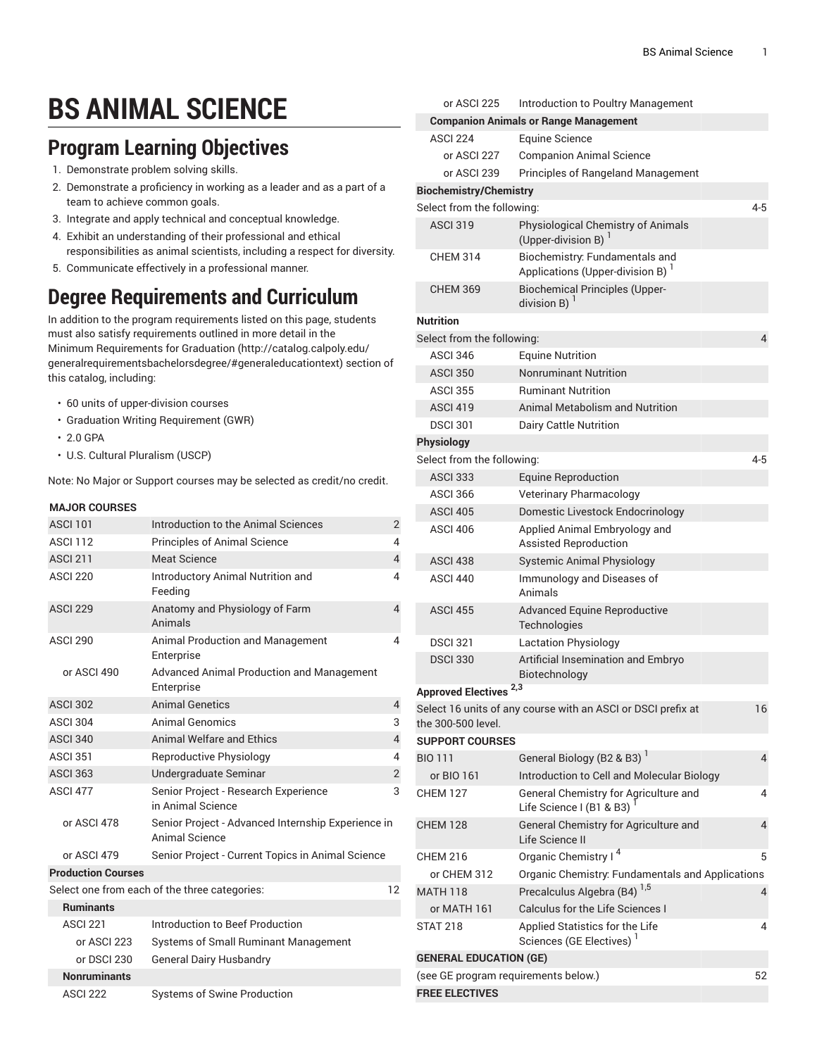# **BS ANIMAL SCIENCE**

#### **Program Learning Objectives**

- 1. Demonstrate problem solving skills.
- 2. Demonstrate a proficiency in working as a leader and as a part of a team to achieve common goals.
- 3. Integrate and apply technical and conceptual knowledge.
- 4. Exhibit an understanding of their professional and ethical responsibilities as animal scientists, including a respect for diversity.
- 5. Communicate effectively in a professional manner.

### **Degree Requirements and Curriculum**

In addition to the program requirements listed on this page, students must also satisfy requirements outlined in more detail in the Minimum [Requirements](http://catalog.calpoly.edu/generalrequirementsbachelorsdegree/#generaleducationtext) for Graduation ([http://catalog.calpoly.edu/](http://catalog.calpoly.edu/generalrequirementsbachelorsdegree/#generaleducationtext) [generalrequirementsbachelorsdegree/#generaleducationtext\)](http://catalog.calpoly.edu/generalrequirementsbachelorsdegree/#generaleducationtext) section of this catalog, including:

- 60 units of upper-division courses
- Graduation Writing Requirement (GWR)
- 2.0 GPA
- U.S. Cultural Pluralism (USCP)

Note: No Major or Support courses may be selected as credit/no credit.

#### **MAJOR COURSES**

| <b>ASCI 101</b>           | Introduction to the Animal Sciences                                  | 2              |
|---------------------------|----------------------------------------------------------------------|----------------|
| <b>ASCI 112</b>           | <b>Principles of Animal Science</b>                                  | 4              |
| <b>ASCI 211</b>           | Meat Science                                                         | $\overline{4}$ |
| <b>ASCI 220</b>           | Introductory Animal Nutrition and<br>Feeding                         | 4              |
| <b>ASCI 229</b>           | Anatomy and Physiology of Farm<br>Animals                            | $\overline{4}$ |
| ASCI <sub>290</sub>       | <b>Animal Production and Management</b><br>Enterprise                | 4              |
| or ASCI 490               | Advanced Animal Production and Management<br>Enterprise              |                |
| <b>ASCI 302</b>           | <b>Animal Genetics</b>                                               | 4              |
| <b>ASCL304</b>            | Animal Genomics                                                      | 3              |
| <b>ASCI 340</b>           | Animal Welfare and Ethics                                            | 4              |
| <b>ASCI 351</b>           | Reproductive Physiology                                              | 4              |
| <b>ASCI 363</b>           | Undergraduate Seminar                                                | $\overline{2}$ |
| ASCI 477                  | Senior Project - Research Experience<br>in Animal Science            | 3              |
| or ASCI 478               | Senior Project - Advanced Internship Experience in<br>Animal Science |                |
| or ASCI 479               | Senior Project - Current Topics in Animal Science                    |                |
| <b>Production Courses</b> |                                                                      |                |
|                           | Select one from each of the three categories:                        | 12             |
| <b>Ruminants</b>          |                                                                      |                |
| <b>ASCI 221</b>           | Introduction to Beef Production                                      |                |
| or ASCI 223               | Systems of Small Ruminant Management                                 |                |
| or DSCI 230               | <b>General Dairy Husbandry</b>                                       |                |
| <b>Nonruminants</b>       |                                                                      |                |
| <b>ASCI 222</b>           | <b>Systems of Swine Production</b>                                   |                |

| or ASCI 225                                  | Introduction to Poultry Management                                             |         |  |  |
|----------------------------------------------|--------------------------------------------------------------------------------|---------|--|--|
| <b>Companion Animals or Range Management</b> |                                                                                |         |  |  |
| <b>ASCI 224</b>                              | Equine Science                                                                 |         |  |  |
| or ASCI 227                                  | <b>Companion Animal Science</b>                                                |         |  |  |
| or ASCI 239                                  | Principles of Rangeland Management                                             |         |  |  |
| <b>Biochemistry/Chemistry</b>                |                                                                                |         |  |  |
| Select from the following:                   |                                                                                | 4-5     |  |  |
| <b>ASCI 319</b>                              | Physiological Chemistry of Animals<br>(Upper-division B) $1$                   |         |  |  |
| <b>CHEM 314</b>                              | Biochemistry: Fundamentals and<br>Applications (Upper-division B) <sup>1</sup> |         |  |  |
| <b>CHEM 369</b>                              | <b>Biochemical Principles (Upper-</b><br>division B) $1$                       |         |  |  |
| <b>Nutrition</b>                             |                                                                                |         |  |  |
| Select from the following:                   |                                                                                | 4       |  |  |
| <b>ASCI 346</b>                              | <b>Equine Nutrition</b>                                                        |         |  |  |
| <b>ASCI 350</b>                              | <b>Nonruminant Nutrition</b>                                                   |         |  |  |
| <b>ASCI 355</b>                              | <b>Ruminant Nutrition</b>                                                      |         |  |  |
| <b>ASCI 419</b>                              | Animal Metabolism and Nutrition                                                |         |  |  |
| <b>DSCI 301</b>                              | Dairy Cattle Nutrition                                                         |         |  |  |
| Physiology                                   |                                                                                |         |  |  |
| Select from the following:                   |                                                                                | $4 - 5$ |  |  |
| <b>ASCI 333</b>                              | <b>Equine Reproduction</b>                                                     |         |  |  |
| <b>ASCI 366</b>                              | Veterinary Pharmacology                                                        |         |  |  |
| <b>ASCI 405</b>                              | Domestic Livestock Endocrinology                                               |         |  |  |
| <b>ASCI 406</b>                              | Applied Animal Embryology and<br><b>Assisted Reproduction</b>                  |         |  |  |
| <b>ASCI 438</b>                              | <b>Systemic Animal Physiology</b>                                              |         |  |  |
| ASCI 440                                     | Immunology and Diseases of<br>Animals                                          |         |  |  |
| <b>ASCI 455</b>                              | <b>Advanced Equine Reproductive</b><br>Technologies                            |         |  |  |
| <b>DSCI 321</b>                              | <b>Lactation Physiology</b>                                                    |         |  |  |
| <b>DSCI 330</b>                              | Artificial Insemination and Embryo<br>Biotechnology                            |         |  |  |
| Approved Electives <sup>2,3</sup>            |                                                                                |         |  |  |
| the 300-500 level.                           | Select 16 units of any course with an ASCI or DSCI prefix at                   | 16      |  |  |
| <b>SUPPORT COURSES</b>                       |                                                                                |         |  |  |
| <b>BIO 111</b>                               | General Biology (B2 & B3) <sup>1</sup>                                         | 4       |  |  |
| or BIO 161                                   | Introduction to Cell and Molecular Biology                                     |         |  |  |
| <b>CHEM 127</b>                              | General Chemistry for Agriculture and<br>Life Science I (B1 & B3)              | 4       |  |  |
| <b>CHEM 128</b>                              | General Chemistry for Agriculture and<br>Life Science II                       | 4       |  |  |
| <b>CHEM 216</b>                              | Organic Chemistry I <sup>4</sup>                                               | 5       |  |  |
| or CHEM 312                                  | Organic Chemistry: Fundamentals and Applications                               |         |  |  |
| <b>MATH 118</b>                              | Precalculus Algebra (B4) <sup>1,5</sup>                                        | 4       |  |  |
| or MATH 161                                  | <b>Calculus for the Life Sciences I</b>                                        |         |  |  |
| <b>STAT 218</b>                              | Applied Statistics for the Life<br>Sciences (GE Electives)                     | 4       |  |  |
| <b>GENERAL EDUCATION (GE)</b>                |                                                                                |         |  |  |
| (see GE program requirements below.)         |                                                                                | 52      |  |  |
| <b>FREE ELECTIVES</b>                        |                                                                                |         |  |  |